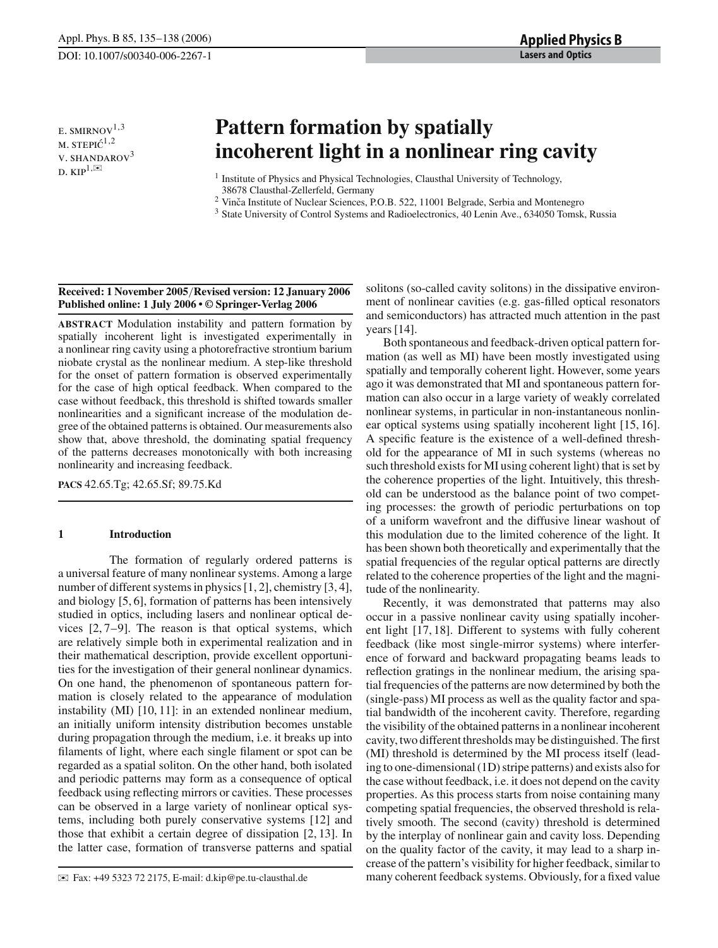E. SMIRNOV $^{1,3}$  $M.$  STEPI $\acute{C}^{1,2}$ v. SHANDAROV<sup>3</sup> D.  $KIP^{1,\boxtimes}$ 

# **Pattern formation by spatially incoherent light in a nonlinear ring cavity**

<sup>1</sup> Institute of Physics and Physical Technologies, Clausthal University of Technology,

38678 Clausthal-Zellerfeld, Germany

<sup>2</sup> Vinča Institute of Nuclear Sciences, P.O.B. 522, 11001 Belgrade, Serbia and Montenegro

<sup>3</sup> State University of Control Systems and Radioelectronics, 40 Lenin Ave., 634050 Tomsk, Russia

## **Received: 1 November 2005**/**Revised version: 12 January 2006 Published online: 1 July 2006 • © Springer-Verlag 2006**

**ABSTRACT** Modulation instability and pattern formation by spatially incoherent light is investigated experimentally in a nonlinear ring cavity using a photorefractive strontium barium niobate crystal as the nonlinear medium. A step-like threshold for the onset of pattern formation is observed experimentally for the case of high optical feedback. When compared to the case without feedback, this threshold is shifted towards smaller nonlinearities and a significant increase of the modulation degree of the obtained patterns is obtained. Our measurements also show that, above threshold, the dominating spatial frequency of the patterns decreases monotonically with both increasing nonlinearity and increasing feedback.

**PACS** 42.65.Tg; 42.65.Sf; 89.75.Kd

# **1 Introduction**

The formation of regularly ordered patterns is a universal feature of many nonlinear systems. Among a large number of different systems in physics [1, 2], chemistry [3, 4], and biology [5, 6], formation of patterns has been intensively studied in optics, including lasers and nonlinear optical devices [2, 7–9]. The reason is that optical systems, which are relatively simple both in experimental realization and in their mathematical description, provide excellent opportunities for the investigation of their general nonlinear dynamics. On one hand, the phenomenon of spontaneous pattern formation is closely related to the appearance of modulation instability (MI) [10, 11]: in an extended nonlinear medium, an initially uniform intensity distribution becomes unstable during propagation through the medium, i.e. it breaks up into filaments of light, where each single filament or spot can be regarded as a spatial soliton. On the other hand, both isolated and periodic patterns may form as a consequence of optical feedback using reflecting mirrors or cavities. These processes can be observed in a large variety of nonlinear optical systems, including both purely conservative systems [12] and those that exhibit a certain degree of dissipation [2, 13]. In the latter case, formation of transverse patterns and spatial

✉ Fax: +49 5323 72 2175, E-mail: d.kip@pe.tu-clausthal.de

solitons (so-called cavity solitons) in the dissipative environment of nonlinear cavities (e.g. gas-filled optical resonators and semiconductors) has attracted much attention in the past years [14].

Both spontaneous and feedback-driven optical pattern formation (as well as MI) have been mostly investigated using spatially and temporally coherent light. However, some years ago it was demonstrated that MI and spontaneous pattern formation can also occur in a large variety of weakly correlated nonlinear systems, in particular in non-instantaneous nonlinear optical systems using spatially incoherent light [15, 16]. A specific feature is the existence of a well-defined threshold for the appearance of MI in such systems (whereas no such threshold exists for MI using coherent light) that is set by the coherence properties of the light. Intuitively, this threshold can be understood as the balance point of two competing processes: the growth of periodic perturbations on top of a uniform wavefront and the diffusive linear washout of this modulation due to the limited coherence of the light. It has been shown both theoretically and experimentally that the spatial frequencies of the regular optical patterns are directly related to the coherence properties of the light and the magnitude of the nonlinearity.

Recently, it was demonstrated that patterns may also occur in a passive nonlinear cavity using spatially incoherent light [17, 18]. Different to systems with fully coherent feedback (like most single-mirror systems) where interference of forward and backward propagating beams leads to reflection gratings in the nonlinear medium, the arising spatial frequencies of the patterns are now determined by both the (single-pass) MI process as well as the quality factor and spatial bandwidth of the incoherent cavity. Therefore, regarding the visibility of the obtained patterns in a nonlinear incoherent cavity, two different thresholds may be distinguished. The first (MI) threshold is determined by the MI process itself (leading to one-dimensional (1D) stripe patterns) and exists also for the case without feedback, i.e. it does not depend on the cavity properties. As this process starts from noise containing many competing spatial frequencies, the observed threshold is relatively smooth. The second (cavity) threshold is determined by the interplay of nonlinear gain and cavity loss. Depending on the quality factor of the cavity, it may lead to a sharp increase of the pattern's visibility for higher feedback, similar to many coherent feedback systems. Obviously, for a fixed value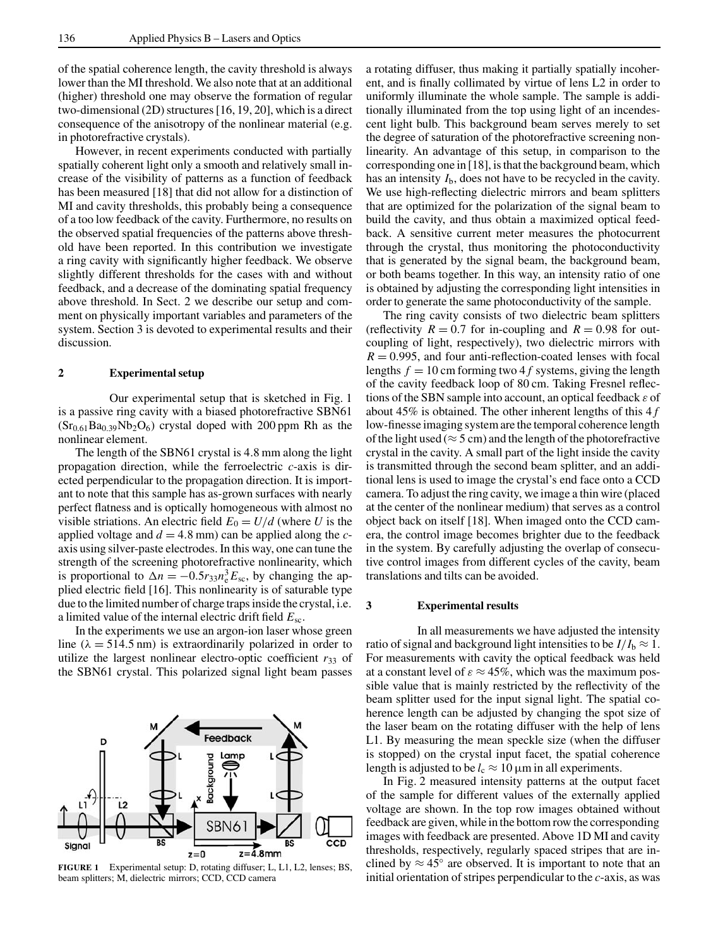of the spatial coherence length, the cavity threshold is always lower than the MI threshold. We also note that at an additional (higher) threshold one may observe the formation of regular two-dimensional (2D) structures [16, 19, 20], which is a direct consequence of the anisotropy of the nonlinear material (e.g. in photorefractive crystals).

However, in recent experiments conducted with partially spatially coherent light only a smooth and relatively small increase of the visibility of patterns as a function of feedback has been measured [18] that did not allow for a distinction of MI and cavity thresholds, this probably being a consequence of a too low feedback of the cavity. Furthermore, no results on the observed spatial frequencies of the patterns above threshold have been reported. In this contribution we investigate a ring cavity with significantly higher feedback. We observe slightly different thresholds for the cases with and without feedback, and a decrease of the dominating spatial frequency above threshold. In Sect. 2 we describe our setup and comment on physically important variables and parameters of the system. Section 3 is devoted to experimental results and their discussion.

#### **2 Experimental setup**

Our experimental setup that is sketched in Fig. 1 is a passive ring cavity with a biased photorefractive SBN61  $(Sr_{0.61}Ba_{0.39}Nb_2O_6)$  crystal doped with 200 ppm Rh as the nonlinear element.

The length of the SBN61 crystal is 4.8 mm along the light propagation direction, while the ferroelectric *c*-axis is directed perpendicular to the propagation direction. It is important to note that this sample has as-grown surfaces with nearly perfect flatness and is optically homogeneous with almost no visible striations. An electric field  $E_0 = U/d$  (where *U* is the applied voltage and  $d = 4.8$  mm) can be applied along the *c*axis using silver-paste electrodes. In this way, one can tune the strength of the screening photorefractive nonlinearity, which is proportional to  $\Delta n = -0.5r_{33}n_e^3E_{\rm sc}$ , by changing the applied electric field [16]. This nonlinearity is of saturable type due to the limited number of charge traps inside the crystal, i.e. a limited value of the internal electric drift field *E*sc.

In the experiments we use an argon-ion laser whose green line ( $\lambda = 514.5$  nm) is extraordinarily polarized in order to utilize the largest nonlinear electro-optic coefficient  $r_{33}$  of the SBN61 crystal. This polarized signal light beam passes



**FIGURE 1** Experimental setup: D, rotating diffuser; L, L1, L2, lenses; BS, beam splitters; M, dielectric mirrors; CCD, CCD camera

a rotating diffuser, thus making it partially spatially incoherent, and is finally collimated by virtue of lens L2 in order to uniformly illuminate the whole sample. The sample is additionally illuminated from the top using light of an incendescent light bulb. This background beam serves merely to set the degree of saturation of the photorefractive screening nonlinearity. An advantage of this setup, in comparison to the corresponding one in [18], is that the background beam, which has an intensity *I*b, does not have to be recycled in the cavity. We use high-reflecting dielectric mirrors and beam splitters that are optimized for the polarization of the signal beam to build the cavity, and thus obtain a maximized optical feedback. A sensitive current meter measures the photocurrent through the crystal, thus monitoring the photoconductivity that is generated by the signal beam, the background beam, or both beams together. In this way, an intensity ratio of one is obtained by adjusting the corresponding light intensities in order to generate the same photoconductivity of the sample.

The ring cavity consists of two dielectric beam splitters (reflectivity  $R = 0.7$  for in-coupling and  $R = 0.98$  for outcoupling of light, respectively), two dielectric mirrors with  $R = 0.995$ , and four anti-reflection-coated lenses with focal lengths  $f = 10$  cm forming two 4 f systems, giving the length of the cavity feedback loop of 80 cm. Taking Fresnel reflections of the SBN sample into account, an optical feedback  $\varepsilon$  of about 45% is obtained. The other inherent lengths of this 4 *f* low-finesse imaging system are the temporal coherence length of the light used ( $\approx$  5 cm) and the length of the photorefractive crystal in the cavity. A small part of the light inside the cavity is transmitted through the second beam splitter, and an additional lens is used to image the crystal's end face onto a CCD camera. To adjust the ring cavity, we image a thin wire (placed at the center of the nonlinear medium) that serves as a control object back on itself [18]. When imaged onto the CCD camera, the control image becomes brighter due to the feedback in the system. By carefully adjusting the overlap of consecutive control images from different cycles of the cavity, beam translations and tilts can be avoided.

#### **3 Experimental results**

In all measurements we have adjusted the intensity ratio of signal and background light intensities to be  $I/I_b \approx 1$ . For measurements with cavity the optical feedback was held at a constant level of  $\varepsilon \approx 45\%$ , which was the maximum possible value that is mainly restricted by the reflectivity of the beam splitter used for the input signal light. The spatial coherence length can be adjusted by changing the spot size of the laser beam on the rotating diffuser with the help of lens L1. By measuring the mean speckle size (when the diffuser is stopped) on the crystal input facet, the spatial coherence length is adjusted to be  $l_c \approx 10 \,\mu\text{m}$  in all experiments.

In Fig. 2 measured intensity patterns at the output facet of the sample for different values of the externally applied voltage are shown. In the top row images obtained without feedback are given, while in the bottom row the corresponding images with feedback are presented. Above 1D MI and cavity thresholds, respectively, regularly spaced stripes that are inclined by  $\approx 45^\circ$  are observed. It is important to note that an initial orientation of stripes perpendicular to the *c*-axis, as was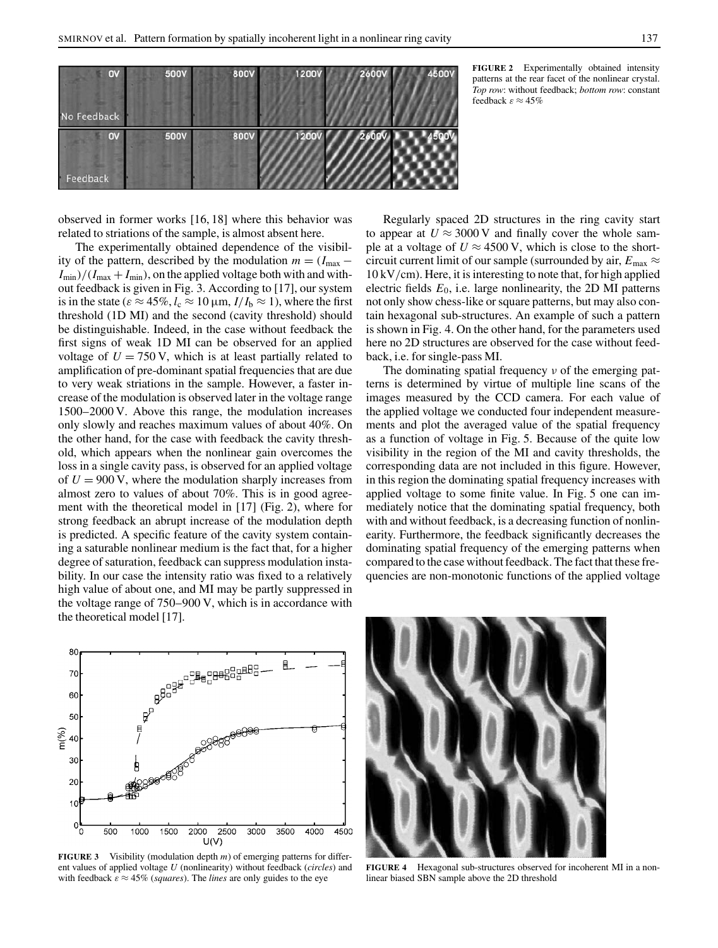

**FIGURE 2** Experimentally obtained intensity patterns at the rear facet of the nonlinear crystal. *Top row*: without feedback; *bottom row*: constant feedback  $\varepsilon \approx 45\%$ 

observed in former works [16, 18] where this behavior was related to striations of the sample, is almost absent here.

The experimentally obtained dependence of the visibility of the pattern, described by the modulation  $m = (I_{\text{max}} - I_{\text{max}})$  $I_{\text{min}}$ /( $I_{\text{max}} + I_{\text{min}}$ ), on the applied voltage both with and without feedback is given in Fig. 3. According to [17], our system is in the state ( $\varepsilon \approx 45\%, l_c \approx 10 \,\mu\text{m}, I/I_b \approx 1$ ), where the first threshold (1D MI) and the second (cavity threshold) should be distinguishable. Indeed, in the case without feedback the first signs of weak 1D MI can be observed for an applied voltage of  $U = 750$  V, which is at least partially related to amplification of pre-dominant spatial frequencies that are due to very weak striations in the sample. However, a faster increase of the modulation is observed later in the voltage range 1500–2000 V. Above this range, the modulation increases only slowly and reaches maximum values of about 40%. On the other hand, for the case with feedback the cavity threshold, which appears when the nonlinear gain overcomes the loss in a single cavity pass, is observed for an applied voltage of  $U = 900$  V, where the modulation sharply increases from almost zero to values of about 70%. This is in good agreement with the theoretical model in [17] (Fig. 2), where for strong feedback an abrupt increase of the modulation depth is predicted. A specific feature of the cavity system containing a saturable nonlinear medium is the fact that, for a higher degree of saturation, feedback can suppress modulation instability. In our case the intensity ratio was fixed to a relatively high value of about one, and MI may be partly suppressed in the voltage range of 750–900 V, which is in accordance with the theoretical model [17].

Regularly spaced 2D structures in the ring cavity start to appear at  $U \approx 3000 \text{ V}$  and finally cover the whole sample at a voltage of  $U \approx 4500 \text{ V}$ , which is close to the shortcircuit current limit of our sample (surrounded by air,  $E_{\text{max}} \approx$ 10 kV/cm). Here, it is interesting to note that, for high applied electric fields  $E_0$ , i.e. large nonlinearity, the 2D MI patterns not only show chess-like or square patterns, but may also contain hexagonal sub-structures. An example of such a pattern is shown in Fig. 4. On the other hand, for the parameters used here no 2D structures are observed for the case without feedback, i.e. for single-pass MI.

The dominating spatial frequency  $\nu$  of the emerging patterns is determined by virtue of multiple line scans of the images measured by the CCD camera. For each value of the applied voltage we conducted four independent measurements and plot the averaged value of the spatial frequency as a function of voltage in Fig. 5. Because of the quite low visibility in the region of the MI and cavity thresholds, the corresponding data are not included in this figure. However, in this region the dominating spatial frequency increases with applied voltage to some finite value. In Fig. 5 one can immediately notice that the dominating spatial frequency, both with and without feedback, is a decreasing function of nonlinearity. Furthermore, the feedback significantly decreases the dominating spatial frequency of the emerging patterns when compared to the case without feedback. The fact that these frequencies are non-monotonic functions of the applied voltage



**FIGURE 3** Visibility (modulation depth *m*) of emerging patterns for different values of applied voltage *U* (nonlinearity) without feedback (*circles*) and with feedback  $\varepsilon \approx 45\%$  (*squares*). The *lines* are only guides to the eye



**FIGURE 4** Hexagonal sub-structures observed for incoherent MI in a nonlinear biased SBN sample above the 2D threshold